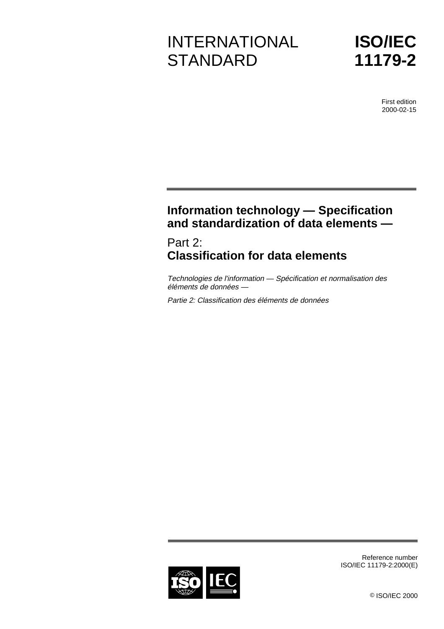# INTERNATIONAL **STANDARD**

**ISO/IEC 11179-2**

> First edition 2000-02-15

# **Information technology — Specification and standardization of data elements —**

# Part 2: **Classification for data elements**

Technologies de l'information — Spécification et normalisation des éléments de données —

Partie 2: Classification des éléments de données



Reference number ISO/IEC 11179-2:2000(E)

© ISO/IEC 2000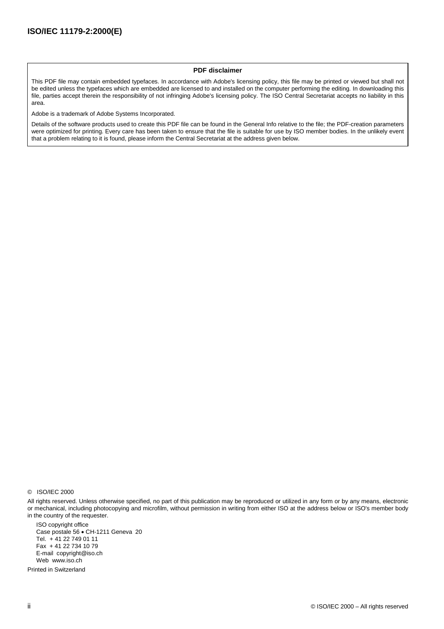#### **PDF disclaimer**

This PDF file may contain embedded typefaces. In accordance with Adobe's licensing policy, this file may be printed or viewed but shall not be edited unless the typefaces which are embedded are licensed to and installed on the computer performing the editing. In downloading this file, parties accept therein the responsibility of not infringing Adobe's licensing policy. The ISO Central Secretariat accepts no liability in this area.

Adobe is a trademark of Adobe Systems Incorporated.

Details of the software products used to create this PDF file can be found in the General Info relative to the file; the PDF-creation parameters were optimized for printing. Every care has been taken to ensure that the file is suitable for use by ISO member bodies. In the unlikely event that a problem relating to it is found, please inform the Central Secretariat at the address given below.

All rights reserved. Unless otherwise specified, no part of this publication may be reproduced or utilized in any form or by any means, electronic or mechanical, including photocopying and microfilm, without permission in writing from either ISO at the address below or ISO's member body in the country of the requester.

ISO copyright office Case postale 56 · CH-1211 Geneva 20 Tel. + 41 22 749 01 11 Fax + 41 22 734 10 79 E-mail copyright@iso.ch Web www.iso.ch

Printed in Switzerland

<sup>©</sup> ISO/IEC 2000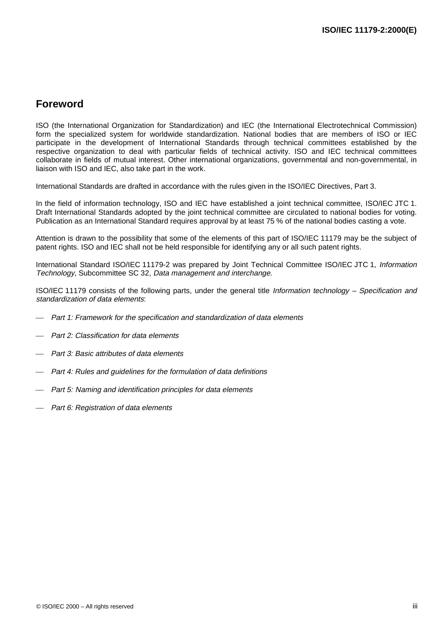### **Foreword**

ISO (the International Organization for Standardization) and IEC (the International Electrotechnical Commission) form the specialized system for worldwide standardization. National bodies that are members of ISO or IEC participate in the development of International Standards through technical committees established by the respective organization to deal with particular fields of technical activity. ISO and IEC technical committees collaborate in fields of mutual interest. Other international organizations, governmental and non-governmental, in liaison with ISO and IEC, also take part in the work.

International Standards are drafted in accordance with the rules given in the ISO/IEC Directives, Part 3.

In the field of information technology, ISO and IEC have established a joint technical committee, ISO/IEC JTC 1. Draft International Standards adopted by the joint technical committee are circulated to national bodies for voting. Publication as an International Standard requires approval by at least 75 % of the national bodies casting a vote.

Attention is drawn to the possibility that some of the elements of this part of ISO/IEC 11179 may be the subject of patent rights. ISO and IEC shall not be held responsible for identifying any or all such patent rights.

International Standard ISO/IEC 11179-2 was prepared by Joint Technical Committee ISO/IEC JTC 1, Information Technology, Subcommittee SC 32, Data management and interchange.

ISO/IEC 11179 consists of the following parts, under the general title Information technology – Specification and standardization of data elements:

- Part 1: Framework for the specification and standardization of data elements
- Part 2: Classification for data elements
- Part 3: Basic attributes of data elements
- Part 4: Rules and guidelines for the formulation of data definitions
- Part 5: Naming and identification principles for data elements
- Part 6: Registration of data elements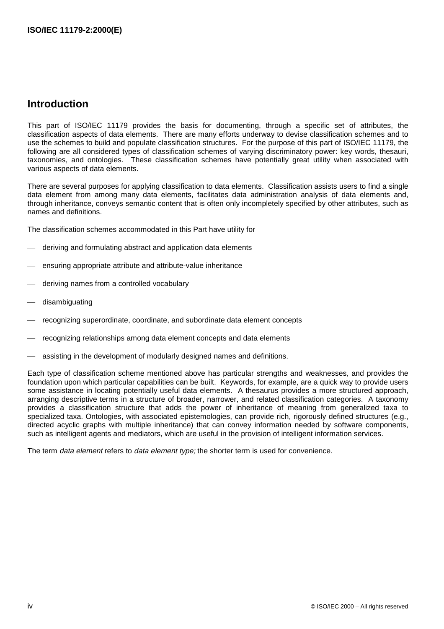### **Introduction**

This part of ISO/IEC 11179 provides the basis for documenting, through a specific set of attributes, the classification aspects of data elements. There are many efforts underway to devise classification schemes and to use the schemes to build and populate classification structures. For the purpose of this part of ISO/IEC 11179, the following are all considered types of classification schemes of varying discriminatory power: key words, thesauri, taxonomies, and ontologies. These classification schemes have potentially great utility when associated with various aspects of data elements.

There are several purposes for applying classification to data elements. Classification assists users to find a single data element from among many data elements, facilitates data administration analysis of data elements and, through inheritance, conveys semantic content that is often only incompletely specified by other attributes, such as names and definitions.

The classification schemes accommodated in this Part have utility for

- deriving and formulating abstract and application data elements
- ensuring appropriate attribute and attribute-value inheritance
- deriving names from a controlled vocabulary
- disambiguating
- recognizing superordinate, coordinate, and subordinate data element concepts
- recognizing relationships among data element concepts and data elements
- assisting in the development of modularly designed names and definitions.

Each type of classification scheme mentioned above has particular strengths and weaknesses, and provides the foundation upon which particular capabilities can be built. Keywords, for example, are a quick way to provide users some assistance in locating potentially useful data elements. A thesaurus provides a more structured approach, arranging descriptive terms in a structure of broader, narrower, and related classification categories. A taxonomy provides a classification structure that adds the power of inheritance of meaning from generalized taxa to specialized taxa. Ontologies, with associated epistemologies, can provide rich, rigorously defined structures (e.g., directed acyclic graphs with multiple inheritance) that can convey information needed by software components, such as intelligent agents and mediators, which are useful in the provision of intelligent information services.

The term data element refers to data element type; the shorter term is used for convenience.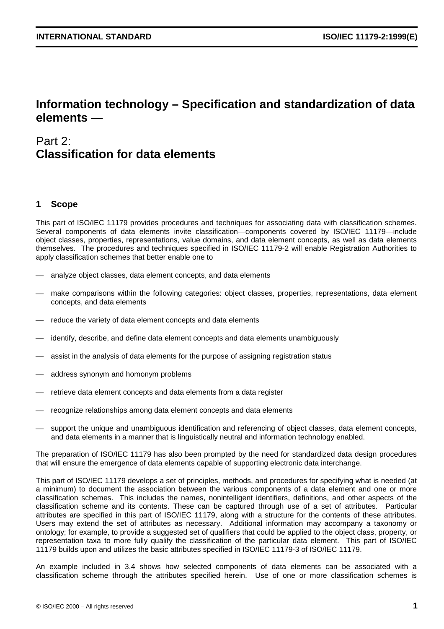## **Information technology – Specification and standardization of data elements —**

# Part 2: **Classification for data elements**

#### **1 Scope**

This part of ISO/IEC 11179 provides procedures and techniques for associating data with classification schemes. Several components of data elements invite classification—components covered by ISO/IEC 11179—include object classes, properties, representations, value domains, and data element concepts, as well as data elements themselves. The procedures and techniques specified in ISO/IEC 11179-2 will enable Registration Authorities to apply classification schemes that better enable one to

- analyze object classes, data element concepts, and data elements
- make comparisons within the following categories: object classes, properties, representations, data element concepts, and data elements
- reduce the variety of data element concepts and data elements
- identify, describe, and define data element concepts and data elements unambiguously
- assist in the analysis of data elements for the purpose of assigning registration status
- address synonym and homonym problems
- retrieve data element concepts and data elements from a data register
- recognize relationships among data element concepts and data elements
- support the unique and unambiguous identification and referencing of object classes, data element concepts, and data elements in a manner that is linguistically neutral and information technology enabled.

The preparation of ISO/IEC 11179 has also been prompted by the need for standardized data design procedures that will ensure the emergence of data elements capable of supporting electronic data interchange.

This part of ISO/IEC 11179 develops a set of principles, methods, and procedures for specifying what is needed (at a minimum) to document the association between the various components of a data element and one or more classification schemes. This includes the names, nonintelligent identifiers, definitions, and other aspects of the classification scheme and its contents. These can be captured through use of a set of attributes. Particular attributes are specified in this part of ISO/IEC 11179, along with a structure for the contents of these attributes. Users may extend the set of attributes as necessary. Additional information may accompany a taxonomy or ontology; for example, to provide a suggested set of qualifiers that could be applied to the object class, property, or representation taxa to more fully qualify the classification of the particular data element. This part of ISO/IEC 11179 builds upon and utilizes the basic attributes specified in ISO/IEC 11179-3 of ISO/IEC 11179.

An example included in 3.4 shows how selected components of data elements can be associated with a classification scheme through the attributes specified herein. Use of one or more classification schemes is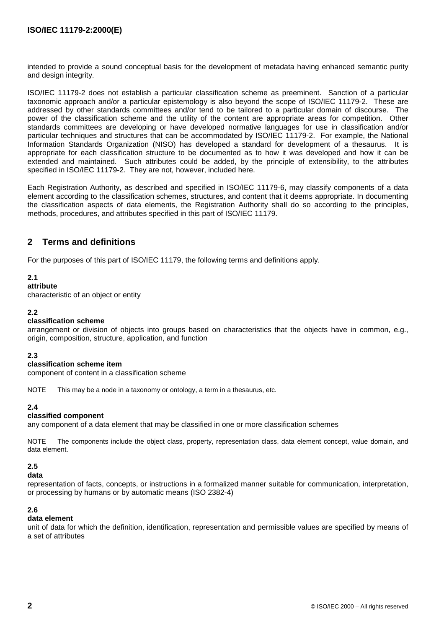intended to provide a sound conceptual basis for the development of metadata having enhanced semantic purity and design integrity.

ISO/IEC 11179-2 does not establish a particular classification scheme as preeminent. Sanction of a particular taxonomic approach and/or a particular epistemology is also beyond the scope of ISO/IEC 11179-2. These are addressed by other standards committees and/or tend to be tailored to a particular domain of discourse. The power of the classification scheme and the utility of the content are appropriate areas for competition. Other standards committees are developing or have developed normative languages for use in classification and/or particular techniques and structures that can be accommodated by ISO/IEC 11179-2. For example, the National Information Standards Organization (NISO) has developed a standard for development of a thesaurus. It is appropriate for each classification structure to be documented as to how it was developed and how it can be extended and maintained. Such attributes could be added, by the principle of extensibility, to the attributes specified in ISO/IEC 11179-2. They are not, however, included here.

Each Registration Authority, as described and specified in ISO/IEC 11179-6, may classify components of a data element according to the classification schemes, structures, and content that it deems appropriate. In documenting the classification aspects of data elements, the Registration Authority shall do so according to the principles, methods, procedures, and attributes specified in this part of ISO/IEC 11179.

### **2 Terms and definitions**

For the purposes of this part of ISO/IEC 11179, the following terms and definitions apply.

#### **2.1**

#### **attribute**

characteristic of an object or entity

#### **2.2**

#### **classification scheme**

arrangement or division of objects into groups based on characteristics that the objects have in common, e.g., origin, composition, structure, application, and function

#### **2.3**

#### **classification scheme item**

component of content in a classification scheme

NOTE This may be a node in a taxonomy or ontology, a term in a thesaurus, etc.

#### **2.4**

#### **classified component**

any component of a data element that may be classified in one or more classification schemes

NOTE The components include the object class, property, representation class, data element concept, value domain, and data element.

#### **2.5**

**data**

representation of facts, concepts, or instructions in a formalized manner suitable for communication, interpretation, or processing by humans or by automatic means (ISO 2382-4)

#### **2.6**

#### **data element**

unit of data for which the definition, identification, representation and permissible values are specified by means of a set of attributes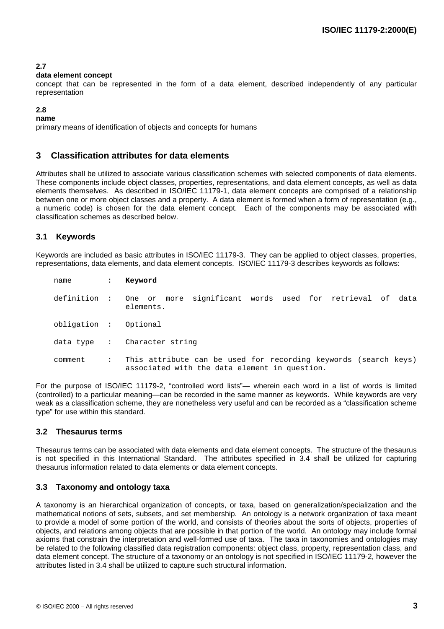#### **2.7**

#### **data element concept**

concept that can be represented in the form of a data element, described independently of any particular representation

#### **2.8**

**name**

primary means of identification of objects and concepts for humans

#### **3 Classification attributes for data elements**

Attributes shall be utilized to associate various classification schemes with selected components of data elements. These components include object classes, properties, representations, and data element concepts, as well as data elements themselves. As described in ISO/IEC 11179-1, data element concepts are comprised of a relationship between one or more object classes and a property. A data element is formed when a form of representation (e.g., a numeric code) is chosen for the data element concept. Each of the components may be associated with classification schemes as described below.

#### **3.1 Keywords**

Keywords are included as basic attributes in ISO/IEC 11179-3. They can be applied to object classes, properties, representations, data elements, and data element concepts. ISO/IEC 11179-3 describes keywords as follows:

| name                  | $\mathbf{L}$ | Keyword                                                                                                          |
|-----------------------|--------------|------------------------------------------------------------------------------------------------------------------|
|                       |              | definition : One or more significant words used for retrieval of data<br>elements.                               |
| obligation : Optional |              |                                                                                                                  |
|                       |              | data type : Character string                                                                                     |
| comment               | $\mathbf{L}$ | This attribute can be used for recording keywords (search keys)<br>associated with the data element in question. |

For the purpose of ISO/IEC 11179-2, "controlled word lists"— wherein each word in a list of words is limited (controlled) to a particular meaning—can be recorded in the same manner as keywords. While keywords are very weak as a classification scheme, they are nonetheless very useful and can be recorded as a "classification scheme type" for use within this standard.

#### **3.2 Thesaurus terms**

Thesaurus terms can be associated with data elements and data element concepts. The structure of the thesaurus is not specified in this International Standard. The attributes specified in 3.4 shall be utilized for capturing thesaurus information related to data elements or data element concepts.

#### **3.3 Taxonomy and ontology taxa**

A taxonomy is an hierarchical organization of concepts, or taxa, based on generalization/specialization and the mathematical notions of sets, subsets, and set membership. An ontology is a network organization of taxa meant to provide a model of some portion of the world, and consists of theories about the sorts of objects, properties of objects, and relations among objects that are possible in that portion of the world. An ontology may include formal axioms that constrain the interpretation and well-formed use of taxa. The taxa in taxonomies and ontologies may be related to the following classified data registration components: object class, property, representation class, and data element concept. The structure of a taxonomy or an ontology is not specified in ISO/IEC 11179-2, however the attributes listed in 3.4 shall be utilized to capture such structural information.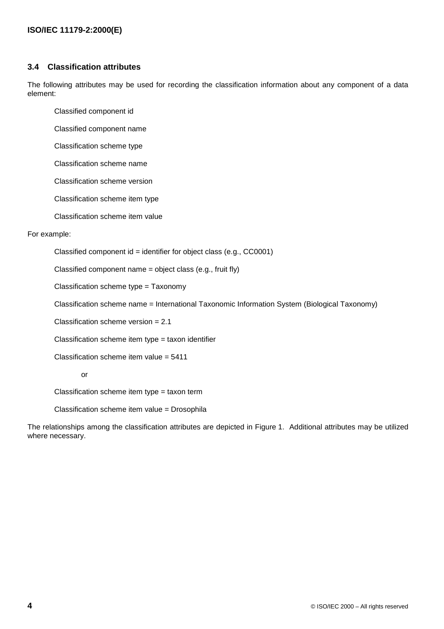#### **3.4 Classification attributes**

The following attributes may be used for recording the classification information about any component of a data element:

Classified component id

Classified component name

Classification scheme type

Classification scheme name

Classification scheme version

Classification scheme item type

Classification scheme item value

For example:

Classified component  $id =$  identifier for object class (e.g., CC0001)

Classified component name = object class (e.g., fruit fly)

Classification scheme type = Taxonomy

Classification scheme name = International Taxonomic Information System (Biological Taxonomy)

Classification scheme version = 2.1

Classification scheme item type = taxon identifier

Classification scheme item value =  $5411$ 

or

Classification scheme item type = taxon term

Classification scheme item value = Drosophila

The relationships among the classification attributes are depicted in Figure 1. Additional attributes may be utilized where necessary.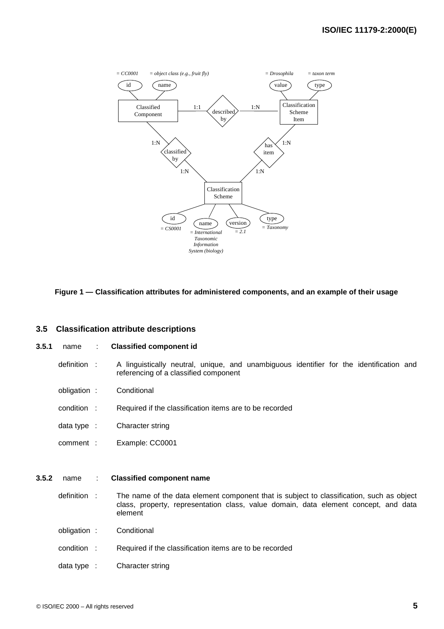

#### **Figure 1 — Classification attributes for administered components, and an example of their usage**

#### **3.5 Classification attribute descriptions**

#### **3.5.1** name : **Classified component id**

- definition : A linguistically neutral, unique, and unambiguous identifier for the identification and referencing of a classified component
- obligation : Conditional
- condition : Required if the classification items are to be recorded
- data type : Character string
- comment : Example: CC0001

#### **3.5.2** name : **Classified component name**

- definition : The name of the data element component that is subject to classification, such as object class, property, representation class, value domain, data element concept, and data element
- obligation : Conditional
- condition : Required if the classification items are to be recorded
- data type : Character string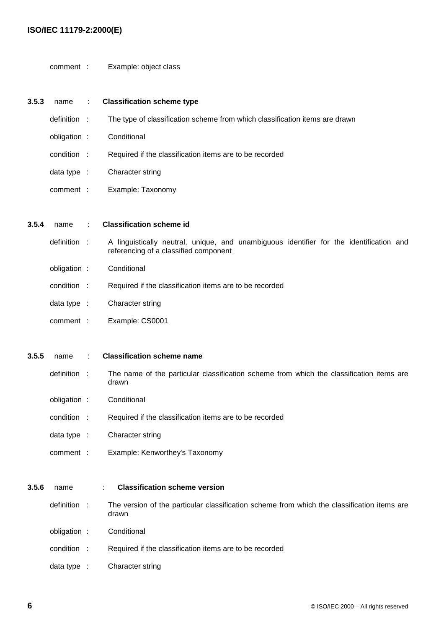#### **ISO/IEC 11179-2:2000(E)**

comment : Example: object class

| 3.5.3 | name                   |        | <b>Classification scheme type</b>                                                                                                |
|-------|------------------------|--------|----------------------------------------------------------------------------------------------------------------------------------|
|       | definition :           |        | The type of classification scheme from which classification items are drawn                                                      |
|       | obligation :           |        | Conditional                                                                                                                      |
|       | condition :            |        | Required if the classification items are to be recorded                                                                          |
|       | data type $\therefore$ |        | Character string                                                                                                                 |
|       | comment :              |        | Example: Taxonomy                                                                                                                |
|       |                        |        |                                                                                                                                  |
| 3.5.4 | name                   |        | <b>Classification scheme id</b>                                                                                                  |
|       | definition             | $\sim$ | A linguistically neutral, unique, and unambiguous identifier for the identification and<br>referencing of a classified component |
|       | obligation :           |        | Conditional                                                                                                                      |
|       | condition :            |        | Required if the classification items are to be recorded                                                                          |
|       | data type :            |        | Character string                                                                                                                 |
|       | comment :              |        | Example: CS0001                                                                                                                  |
|       |                        |        |                                                                                                                                  |
| 3.5.5 | name                   |        | <b>Classification scheme name</b>                                                                                                |
|       | definition :           |        | The name of the particular classification scheme from which the classification items are<br>drawn                                |
|       | obligation :           |        | Conditional                                                                                                                      |
|       | condition :            |        | Required if the classification items are to be recorded                                                                          |
|       | data type $\therefore$ |        | Character string                                                                                                                 |
|       | comment :              |        | Example: Kenworthey's Taxonomy                                                                                                   |
|       |                        |        |                                                                                                                                  |

definition : The version of the particular classification scheme from which the classification items are drawn obligation : Conditional

condition : Required if the classification items are to be recorded

data type : Character string

**3.5.6** name : **Classification scheme version**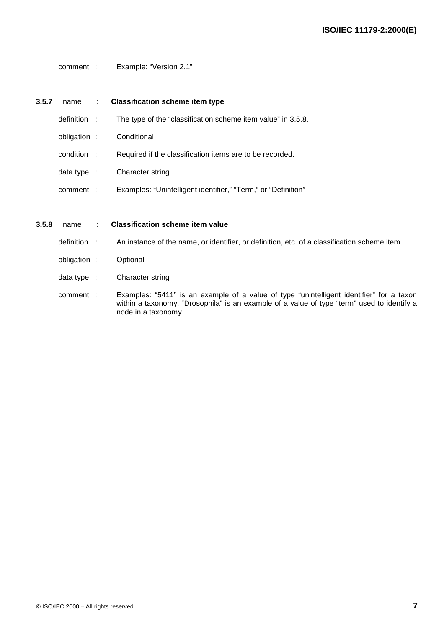comment : Example: "Version 2.1"

#### **3.5.7** name : **Classification scheme item type**

- definition : The type of the "classification scheme item value" in 3.5.8.
- obligation : Conditional
- condition : Required if the classification items are to be recorded.
- data type : Character string
- comment : Examples: "Unintelligent identifier," "Term," or "Definition"

#### **3.5.8** name : **Classification scheme item value**

- definition : An instance of the name, or identifier, or definition, etc. of a classification scheme item
- obligation : Optional
- data type : Character string
- comment : Examples: "5411" is an example of a value of type "unintelligent identifier" for a taxon within a taxonomy. "Drosophila" is an example of a value of type "term" used to identify a node in a taxonomy.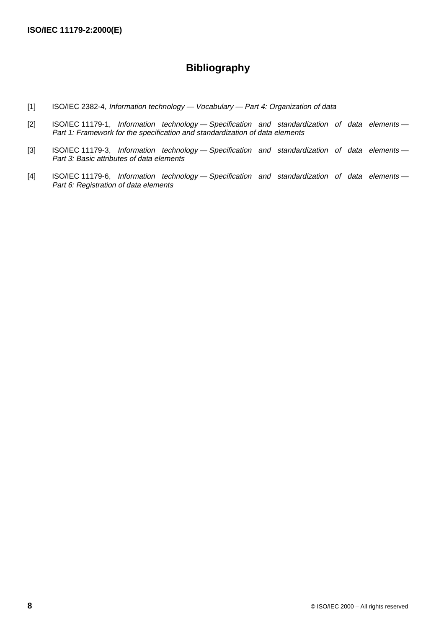### **Bibliography**

- [1] ISO/IEC 2382-4, Information technology Vocabulary Part 4: Organization of data
- [2] ISO/IEC 11179-1, Information technology Specification and standardization of data elements -Part 1: Framework for the specification and standardization of data elements
- [3] ISO/IEC 11179-3, Information technology Specification and standardization of data elements -Part 3: Basic attributes of data elements
- [4] ISO/IEC 11179-6, Information technology Specification and standardization of data elements -Part 6: Registration of data elements